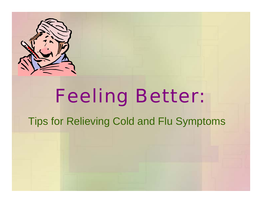

# Feeling Better:

#### Tips for Relieving Cold and Flu Symptoms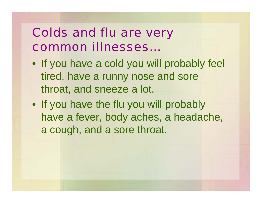# Colds and flu are very common illnesses…

- If you have a cold you will probably feel tired, have a runny nose and sore throat, and sneeze a lot.
- If you have the flu you will probably have a fever, body aches, a headache, a cough, and a sore throat.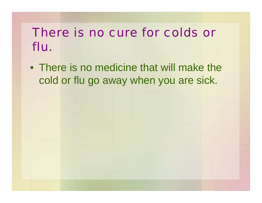# There is no cure for colds or flu.

• There is no medicine that will make the cold or flu go away when you are sick.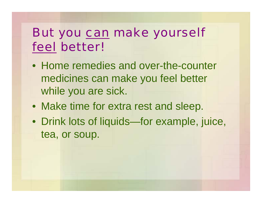# But you can make yourself feel better!

- Home remedies and over-the-counter medicines can make you feel better while you are sick.
- Make time for extra rest and sleep.
- Drink lots of liquids—for example, juice, tea, or soup.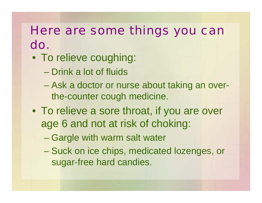### Here are some things you can do.

- To relieve coughing:
	- Drink a lot of fluids
	- Ask a doctor or nurse about taking an overthe-counter cough medicine.
- To relieve a sore throat, if you are over age 6 and not at risk of choking:
	- Gargle with warm salt water
	- Suck on ice chips, medicated lozenges, or sugar-free hard candies.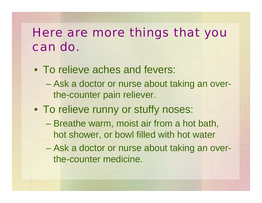# Here are more things that you can do.

- To relieve aches and fevers:
	- Ask a doctor or nurse about taking an overthe-counter pain reliever.
- To relieve runny or stuffy noses:
	- Breathe warm, moist air from a hot bath, hot shower, or bowl filled with hot water
	- Ask a doctor or nurse about taking an overthe-counter medicine.